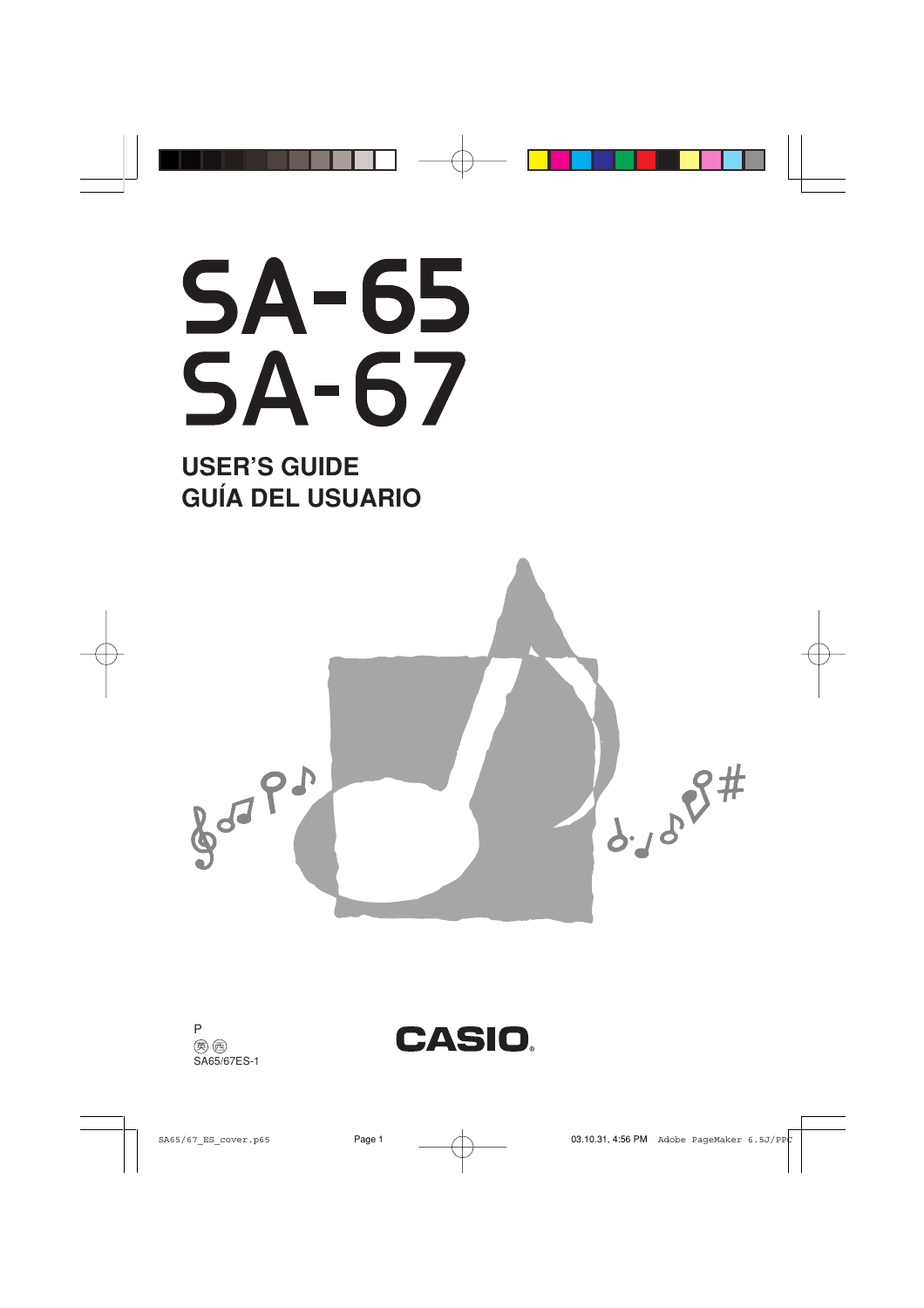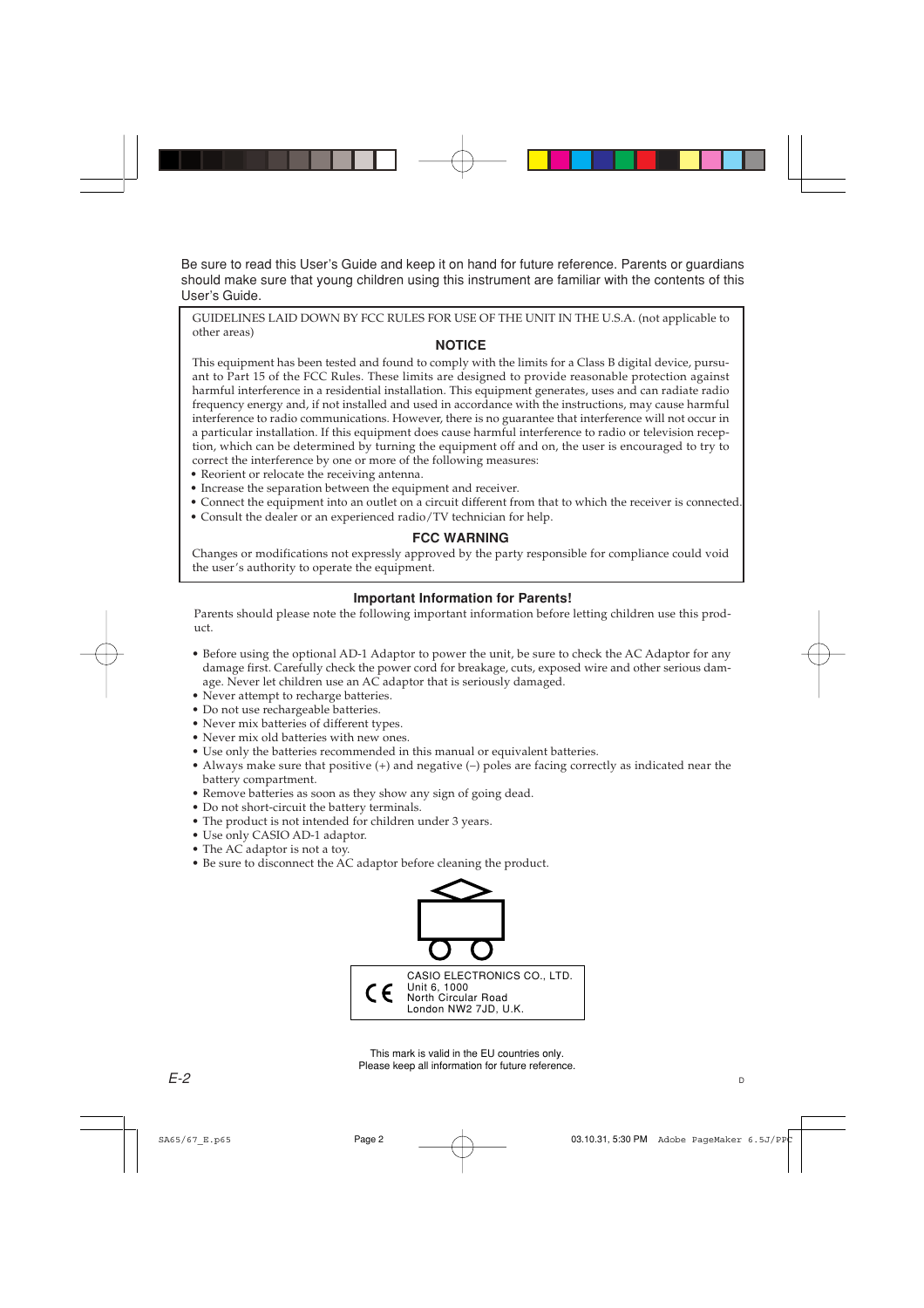Be sure to read this User's Guide and keep it on hand for future reference. Parents or guardians should make sure that young children using this instrument are familiar with the contents of this User's Guide.

GUIDELINES LAID DOWN BY FCC RULES FOR USE OF THE UNIT IN THE U.S.A. (not applicable to other areas)

#### **NOTICE**

This equipment has been tested and found to comply with the limits for a Class B digital device, pursuant to Part 15 of the FCC Rules. These limits are designed to provide reasonable protection against harmful interference in a residential installation. This equipment generates, uses and can radiate radio frequency energy and, if not installed and used in accordance with the instructions, may cause harmful interference to radio communications. However, there is no guarantee that interference will not occur in a particular installation. If this equipment does cause harmful interference to radio or television reception, which can be determined by turning the equipment off and on, the user is encouraged to try to correct the interference by one or more of the following measures:

- Reorient or relocate the receiving antenna.
- Increase the separation between the equipment and receiver.
- Connect the equipment into an outlet on a circuit different from that to which the receiver is connected.
- Consult the dealer or an experienced radio/TV technician for help.

#### **FCC WARNING**

Changes or modifications not expressly approved by the party responsible for compliance could void the user's authority to operate the equipment.

#### **Important Information for Parents!**

Parents should please note the following important information before letting children use this product.

- Before using the optional AD-1 Adaptor to power the unit, be sure to check the AC Adaptor for any damage first. Carefully check the power cord for breakage, cuts, exposed wire and other serious damage. Never let children use an AC adaptor that is seriously damaged.
- Never attempt to recharge batteries.
- Do not use rechargeable batteries.
- Never mix batteries of different types.
- Never mix old batteries with new ones.
- Use only the batteries recommended in this manual or equivalent batteries.
- Always make sure that positive (+) and negative (–) poles are facing correctly as indicated near the battery compartment.
- Remove batteries as soon as they show any sign of going dead.
- Do not short-circuit the battery terminals.
- The product is not intended for children under 3 years.
- Use only CASIO AD-1 adaptor.
- The AC adaptor is not a toy.
- Be sure to disconnect the AC adaptor before cleaning the product.



This mark is valid in the EU countries only. Please keep all information for future reference.



 $SAS/67$  E.p65 **Page 2 Page 2 Page 2 Page 1** 03.10.31, 5:30 PM Adobe PageMaker 6.5J/P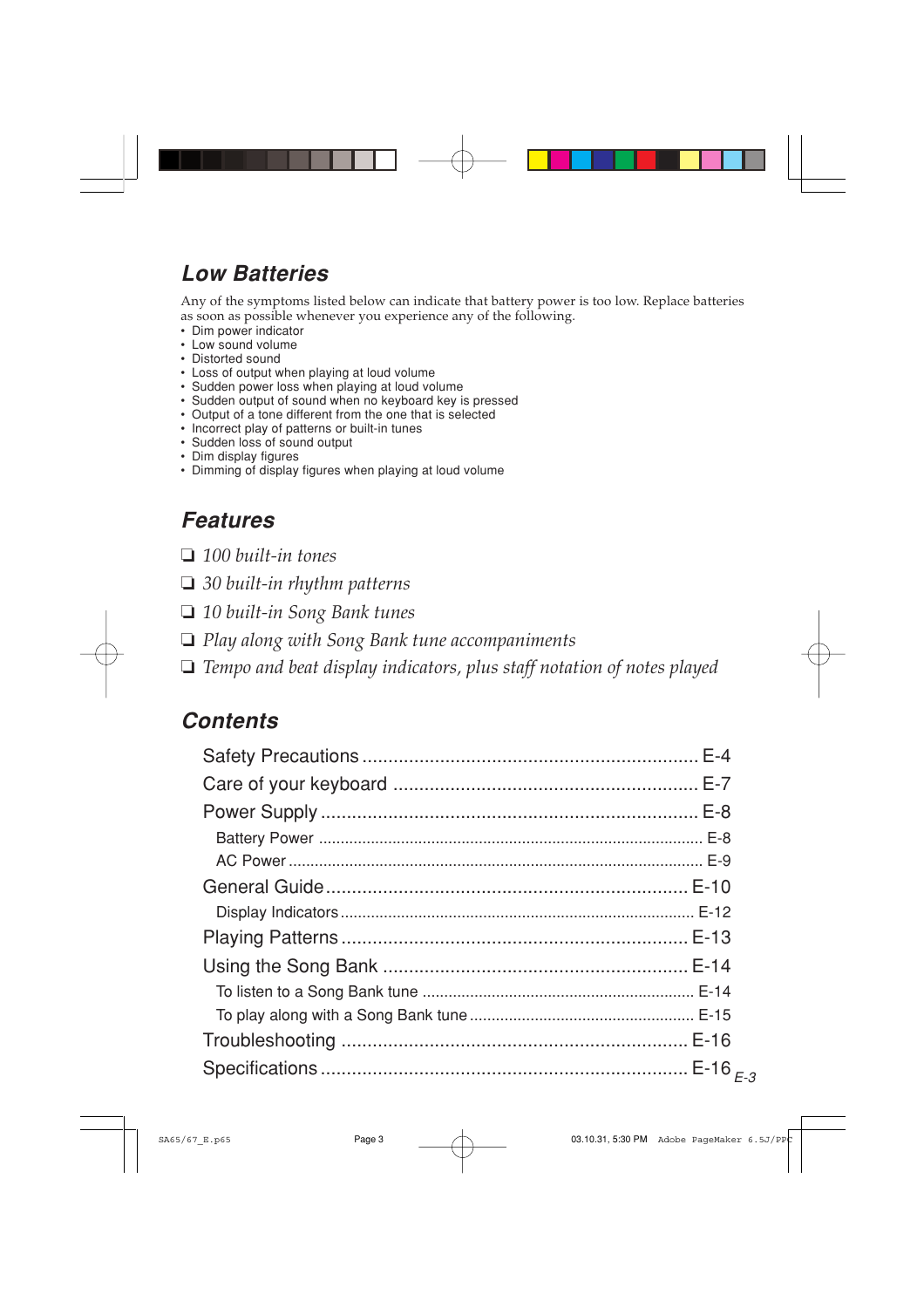

# **Low Batteries**

Any of the symptoms listed below can indicate that battery power is too low. Replace batteries as soon as possible whenever you experience any of the following.

- Dim power indicator
- Low sound volume
- Distorted sound
- Loss of output when playing at loud volume
- Sudden power loss when playing at loud volume
- Sudden output of sound when no keyboard key is pressed
- Output of a tone different from the one that is selected • Incorrect play of patterns or built-in tunes
- Sudden loss of sound output
- Dim display figures
- Dimming of display figures when playing at loud volume

# **Features**

- ❏ *100 built-in tones*
- ❏ *30 built-in rhythm patterns*
- ❏ *10 built-in Song Bank tunes*
- ❏ *Play along with Song Bank tune accompaniments*
- ❏ *Tempo and beat display indicators, plus staff notation of notes played*

### **Contents**

 $SAS/67_E.p65$  Page 3 Page 3 03.10.31, 5:30 PM Adobe PageMaker 6.5J/F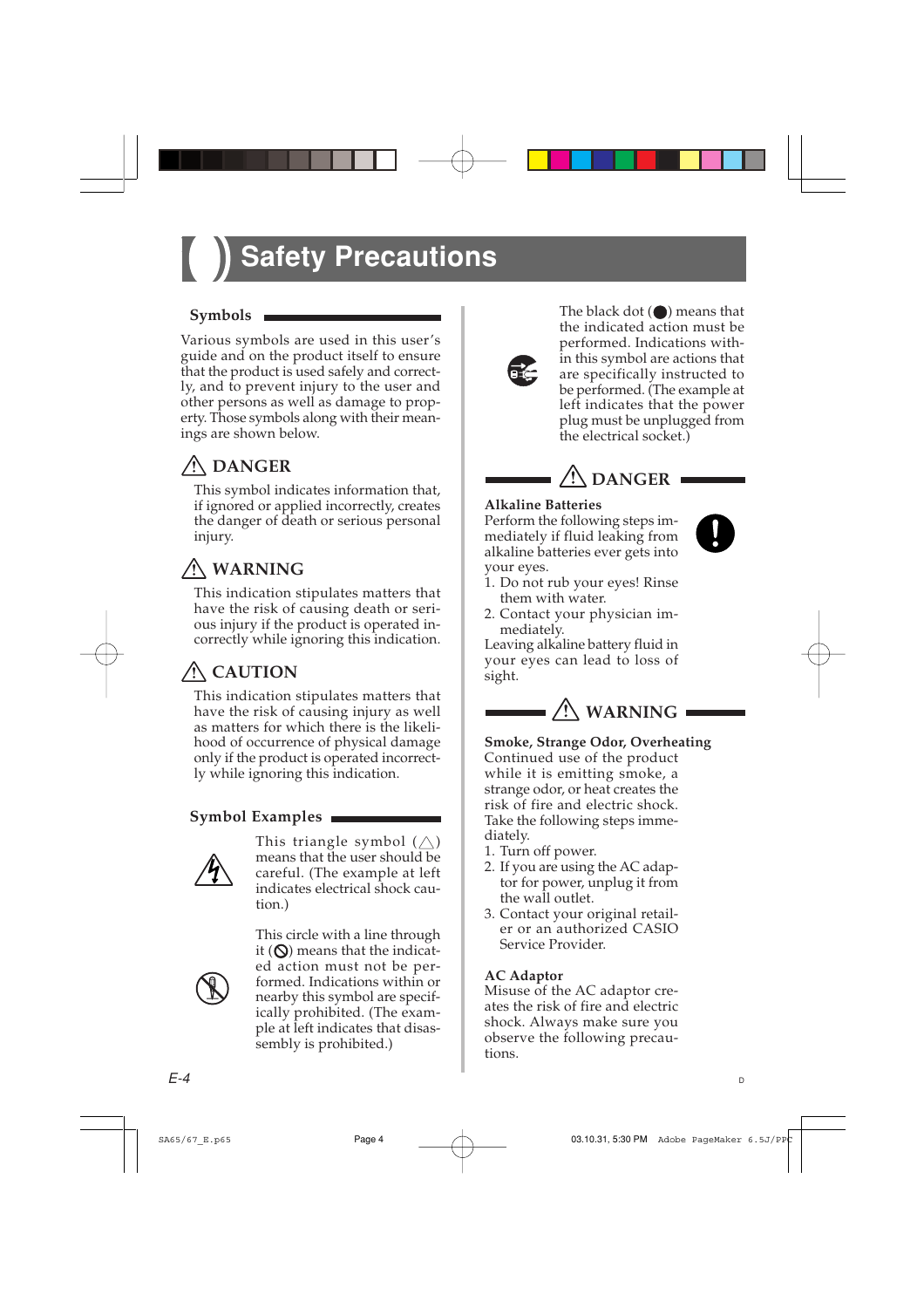# **Safety Precautions**

#### **Symbols**

Various symbols are used in this user's guide and on the product itself to ensure that the product is used safely and correctly, and to prevent injury to the user and other persons as well as damage to property. Those symbols along with their meanings are shown below.

### **DANGER**

This symbol indicates information that, if ignored or applied incorrectly, creates the danger of death or serious personal injury.

# **WARNING**

This indication stipulates matters that have the risk of causing death or serious injury if the product is operated incorrectly while ignoring this indication.

### **CAUTION**

This indication stipulates matters that have the risk of causing injury as well as matters for which there is the likelihood of occurrence of physical damage only if the product is operated incorrectly while ignoring this indication.

#### **Symbol Examples**



This triangle symbol  $(\triangle)$ means that the user should be careful. (The example at left indicates electrical shock caution.)

This circle with a line through it  $(Q)$  means that the indicated action must not be performed. Indications within or nearby this symbol are specifically prohibited. (The example at left indicates that disassembly is prohibited.)



The black dot  $(\bullet)$  means that the indicated action must be performed. Indications within this symbol are actions that are specifically instructed to be performed. (The example at left indicates that the power plug must be unplugged from the electrical socket.)

# $\bigwedge$  DANGER  $\blacksquare$

#### **Alkaline Batteries**

Perform the following steps immediately if fluid leaking from alkaline batteries ever gets into your eyes.

- 1. Do not rub your eyes! Rinse them with water.
- 2. Contact your physician immediately.

Leaving alkaline battery fluid in your eyes can lead to loss of sight.



**Smoke, Strange Odor, Overheating** Continued use of the product while it is emitting smoke, a strange odor, or heat creates the risk of fire and electric shock. Take the following steps immediately.

- 1. Turn off power.
- 2. If you are using the AC adaptor for power, unplug it from the wall outlet.
- 3. Contact your original retailer or an authorized CASIO Service Provider.

#### **AC Adaptor**

Misuse of the AC adaptor creates the risk of fire and electric shock. Always make sure you observe the following precautions.



SA65/67\_E.p65 Page 4 Page 4 03.10.31, 5:30 PM Adobe PageMaker 6.5J/P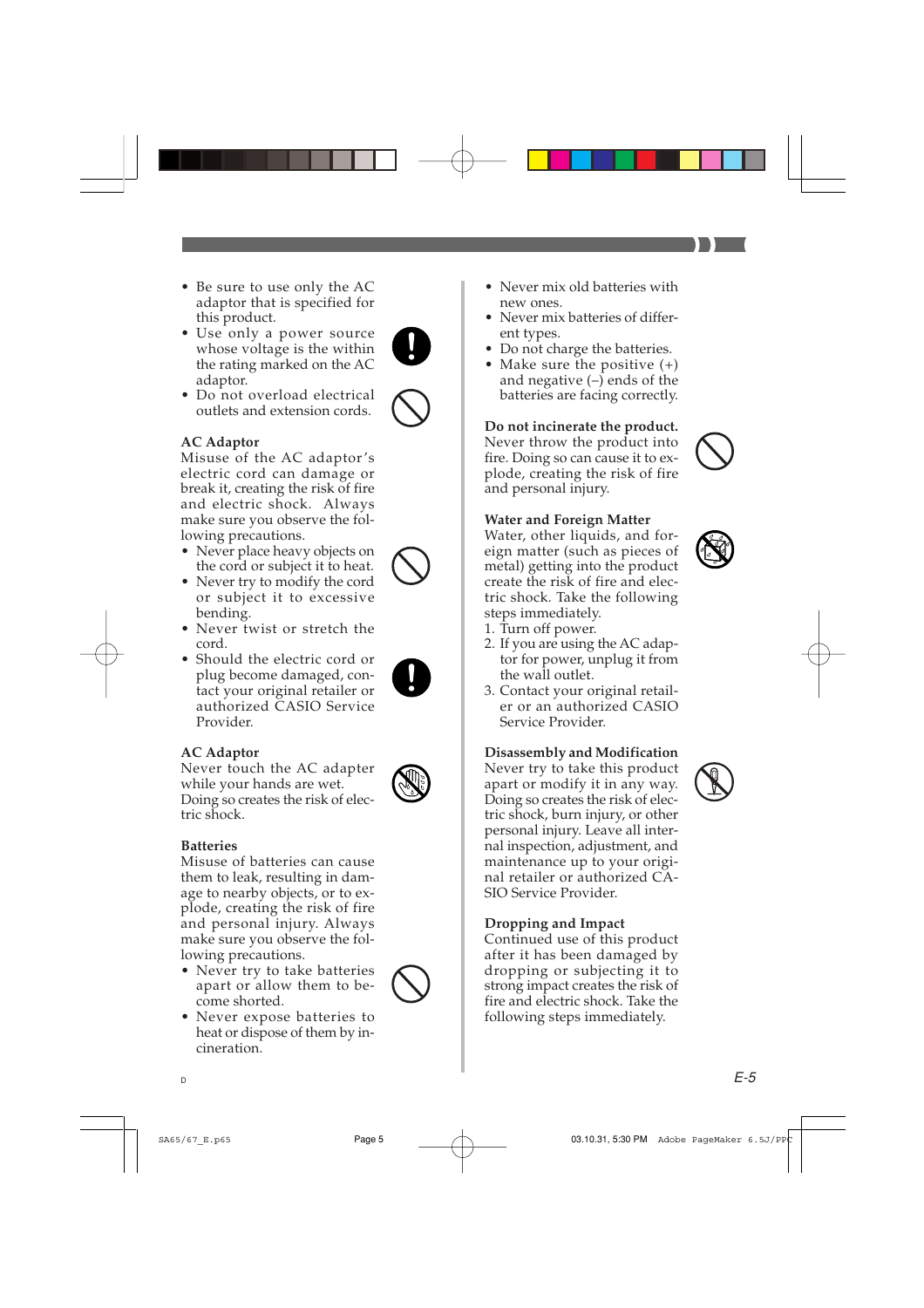- Be sure to use only the AC adaptor that is specified for this product.
- Use only a power source whose voltage is the within the rating marked on the AC adaptor.



outlets and extension cords.

**AC Adaptor** Misuse of the AC adaptor's electric cord can damage or break it, creating the risk of fire and electric shock. Always make sure you observe the following precautions.

- Never place heavy objects on the cord or subject it to heat.
- Never try to modify the cord or subject it to excessive bending.
- Never twist or stretch the cord.
- Should the electric cord or plug become damaged, contact your original retailer or authorized CASIO Service Provider.

**AC Adaptor** Never touch the AC adapter while your hands are wet. Doing so creates the risk of electric shock.

**Batteries** Misuse of batteries can cause them to leak, resulting in damage to nearby objects, or to explode, creating the risk of fire and personal injury. Always make sure you observe the following precautions.

- Never try to take batteries apart or allow them to become shorted.
- Never expose batteries to heat or dispose of them by incineration.
- 



- Do not overload electrical
- Never mix old batteries with new ones.
- Never mix batteries of different types.
- Do not charge the batteries.
- Make sure the positive  $(+)$ and negative  $\overrightarrow{-}$  ends of the batteries are facing correctly.

#### **Do not incinerate the product.**

Never throw the product into fire. Doing so can cause it to explode, creating the risk of fire and personal injury.

#### **Water and Foreign Matter**

Water, other liquids, and foreign matter (such as pieces of metal) getting into the product create the risk of fire and electric shock. Take the following steps immediately.

- 1. Turn off power.
- 2. If you are using the AC adaptor for power, unplug it from the wall outlet.
- 3. Contact your original retailer or an authorized CASIO Service Provider.

#### **Disassembly and Modification**

Never try to take this product apart or modify it in any way. Doing so creates the risk of electric shock, burn injury, or other personal injury. Leave all internal inspection, adjustment, and maintenance up to your original retailer or authorized CA-SIO Service Provider.

#### **Dropping and Impact**

Continued use of this product after it has been damaged by dropping or subjecting it to strong impact creates the risk of fire and electric shock. Take the following steps immediately.









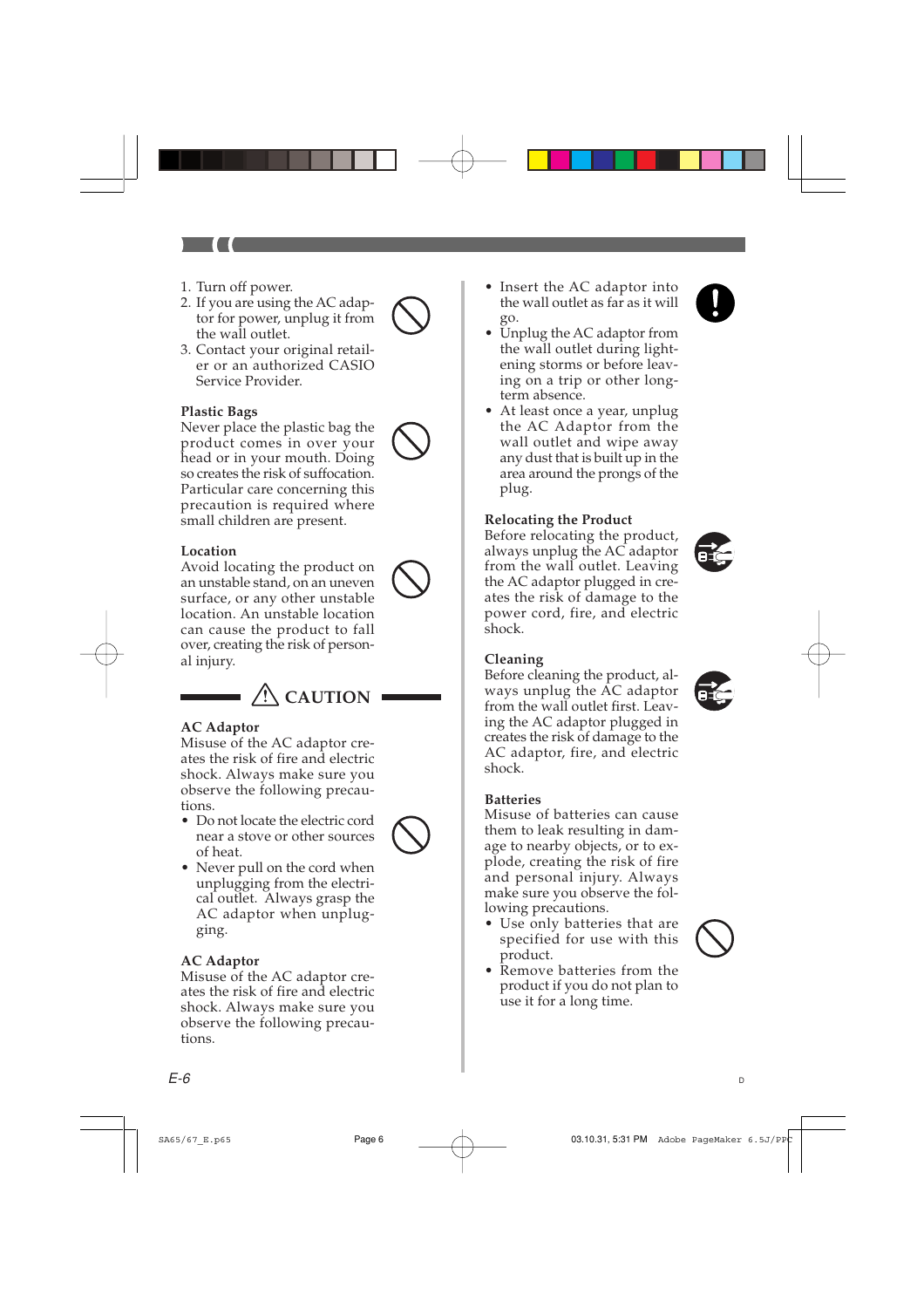- 1. Turn off power.
- 2. If you are using the AC adaptor for power, unplug it from the wall outlet.



3. Contact your original retailer or an authorized CASIO Service Provider.

#### **Plastic Bags**



Never place the plastic bag the product comes in over your head or in your mouth. Doing so creates the risk of suffocation. Particular care concerning this precaution is required where small children are present.

#### **Location**

Avoid locating the product on an unstable stand, on an uneven surface, or any other unstable location. An unstable location can cause the product to fall over, creating the risk of personal injury.

# **CAUTION**

#### **AC Adaptor**

Misuse of the AC adaptor creates the risk of fire and electric shock. Always make sure you observe the following precautions

• Do not locate the electric cord near a stove or other sources of heat.



• Never pull on the cord when unplugging from the electrical outlet. Always grasp the AC adaptor when unplugging.

#### **AC Adaptor**

Misuse of the AC adaptor creates the risk of fire and electric shock. Always make sure you observe the following precautions.



- Insert the AC adaptor into the wall outlet as far as it will go.
- Unplug the AC adaptor from the wall outlet during lightening storms or before leaving on a trip or other longterm absence.
- At least once a year, unplug the AC Adaptor from the wall outlet and wipe away any dust that is built up in the area around the prongs of the plug.

#### **Relocating the Product**

Before relocating the product, always unplug the AC adaptor from the wall outlet. Leaving the AC adaptor plugged in creates the risk of damage to the power cord, fire, and electric shock.

#### **Cleaning**

Before cleaning the product, always unplug the AC adaptor from the wall outlet first. Leaving the AC adaptor plugged in creates the risk of damage to the AC adaptor, fire, and electric shock.

#### **Batteries**

Misuse of batteries can cause them to leak resulting in damage to nearby objects, or to explode, creating the risk of fire and personal injury. Always make sure you observe the following precautions.

- Use only batteries that are specified for use with this product.
- Remove batteries from the product if you do not plan to use it for a long time.









D

E-6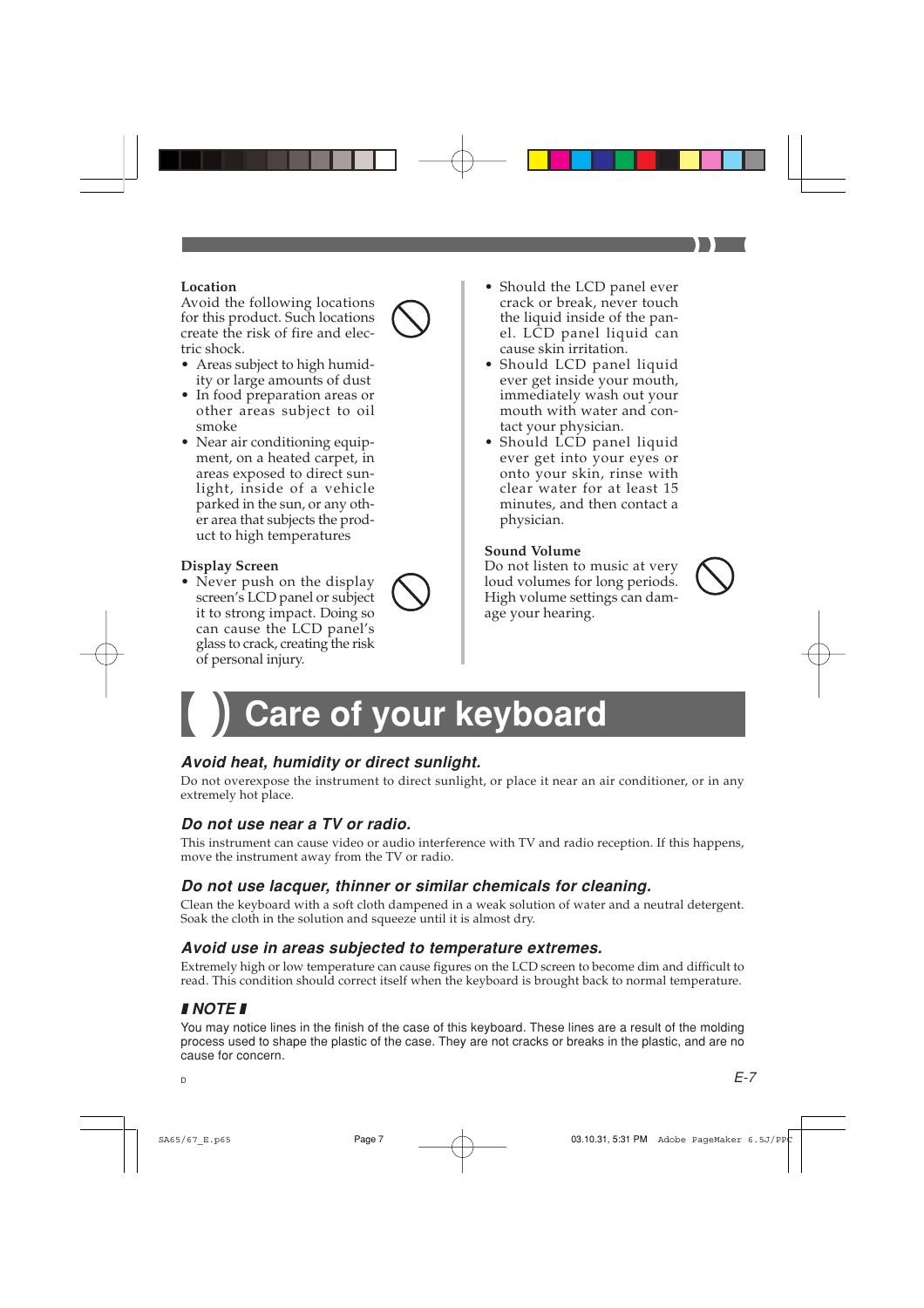#### **Location**

Avoid the following locations for this product. Such locations create the risk of fire and electric shock.



- Areas subject to high humidity or large amounts of dust
- In food preparation areas or other areas subject to oil smoke
- Near air conditioning equipment, on a heated carpet, in areas exposed to direct sunlight, inside of a vehicle parked in the sun, or any other area that subjects the product to high temperatures

#### **Display Screen**

• Never push on the display screen's LCD panel or subject it to strong impact. Doing so can cause the LCD panel's glass to crack, creating the risk of personal injury.

crack or break, never touch the liquid inside of the panel. LCD panel liquid can cause skin irritation.

• Should the LCD panel ever

- Should LCD panel liquid ever get inside your mouth, immediately wash out your mouth with water and contact your physician.
- Should LCD panel liquid ever get into your eyes or onto your skin, rinse with clear water for at least 15 minutes, and then contact a physician.

#### **Sound Volume**

Do not listen to music at very loud volumes for long periods. High volume settings can damage your hearing.



# **Care of your keyboard**

#### **Avoid heat, humidity or direct sunlight.**

Do not overexpose the instrument to direct sunlight, or place it near an air conditioner, or in any extremely hot place.

#### **Do not use near a TV or radio.**

This instrument can cause video or audio interference with TV and radio reception. If this happens, move the instrument away from the TV or radio.

#### **Do not use lacquer, thinner or similar chemicals for cleaning.**

Clean the keyboard with a soft cloth dampened in a weak solution of water and a neutral detergent. Soak the cloth in the solution and squeeze until it is almost dry.

#### **Avoid use in areas subjected to temperature extremes.**

Extremely high or low temperature can cause figures on the LCD screen to become dim and difficult to read. This condition should correct itself when the keyboard is brought back to normal temperature.

#### ❚ **NOTE** ❚

You may notice lines in the finish of the case of this keyboard. These lines are a result of the molding process used to shape the plastic of the case. They are not cracks or breaks in the plastic, and are no cause for concern.

D

 $SAS/67$ \_E.p65 Page 7 Page 7 03.10.31, 5:31 PM Adobe PageMaker 6.5J/P

E-7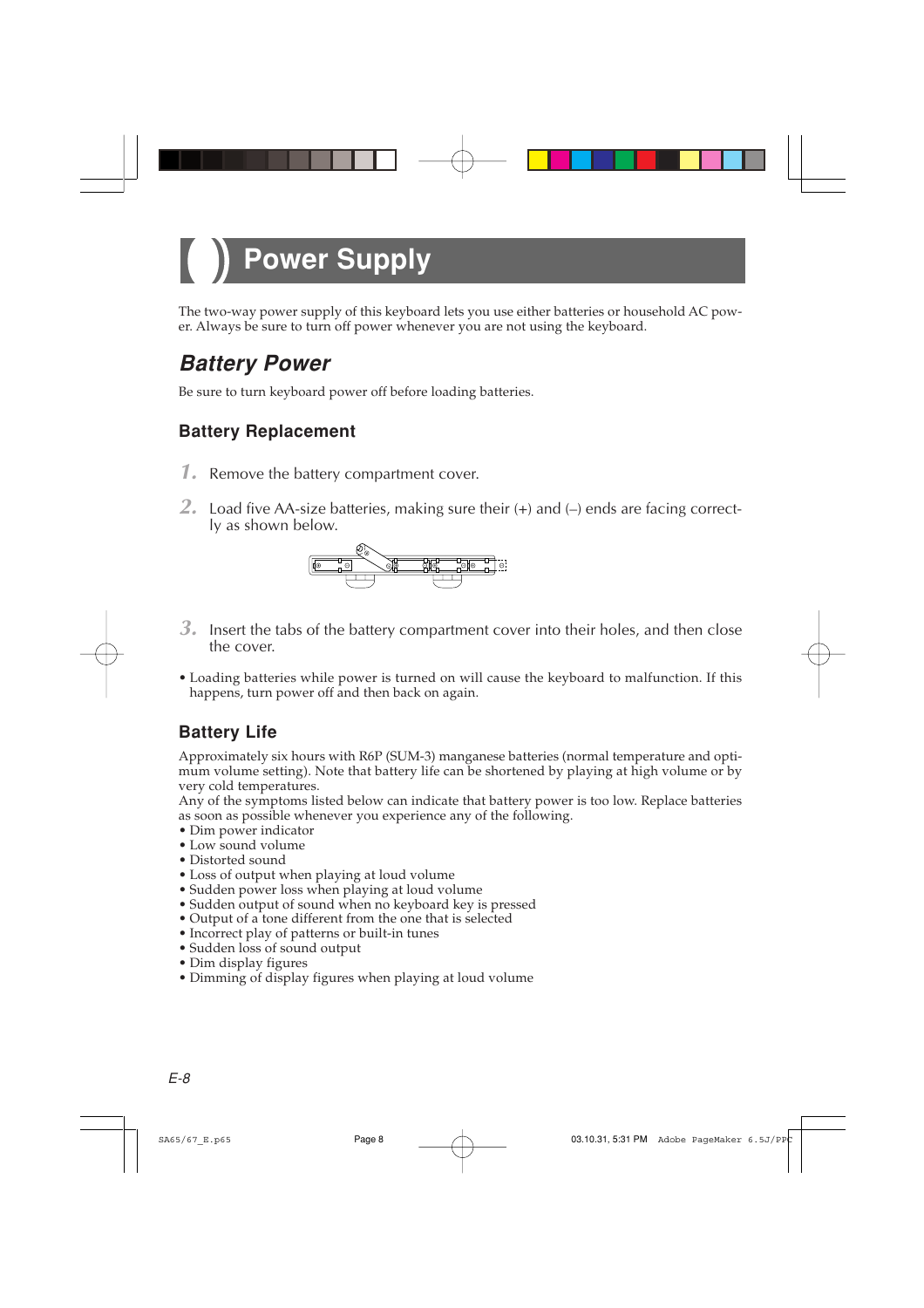# **Power Supply**

The two-way power supply of this keyboard lets you use either batteries or household AC power. Always be sure to turn off power whenever you are not using the keyboard.

## **Battery Power**

Be sure to turn keyboard power off before loading batteries.

### **Battery Replacement**

- **1.** Remove the battery compartment cover.
- **2.** Load five AA-size batteries, making sure their (+) and (–) ends are facing correctly as shown below.



- **3.** Insert the tabs of the battery compartment cover into their holes, and then close the cover.
- Loading batteries while power is turned on will cause the keyboard to malfunction. If this happens, turn power off and then back on again.

### **Battery Life**

Approximately six hours with R6P (SUM-3) manganese batteries (normal temperature and optimum volume setting). Note that battery life can be shortened by playing at high volume or by very cold temperatures.

Any of the symptoms listed below can indicate that battery power is too low. Replace batteries as soon as possible whenever you experience any of the following.

- Dim power indicator
- Low sound volume
- Distorted sound
- Loss of output when playing at loud volume
- Sudden power loss when playing at loud volume
- Sudden output of sound when no keyboard key is pressed
- Output of a tone different from the one that is selected
- Incorrect play of patterns or built-in tunes • Sudden loss of sound output
- Dim display figures
- Dimming of display figures when playing at loud volume

#### E-8

SA65/67\_E.p65 **Page 8** Page 8 03.10.31, 5:31 PM Adobe PageMaker 6.5J/F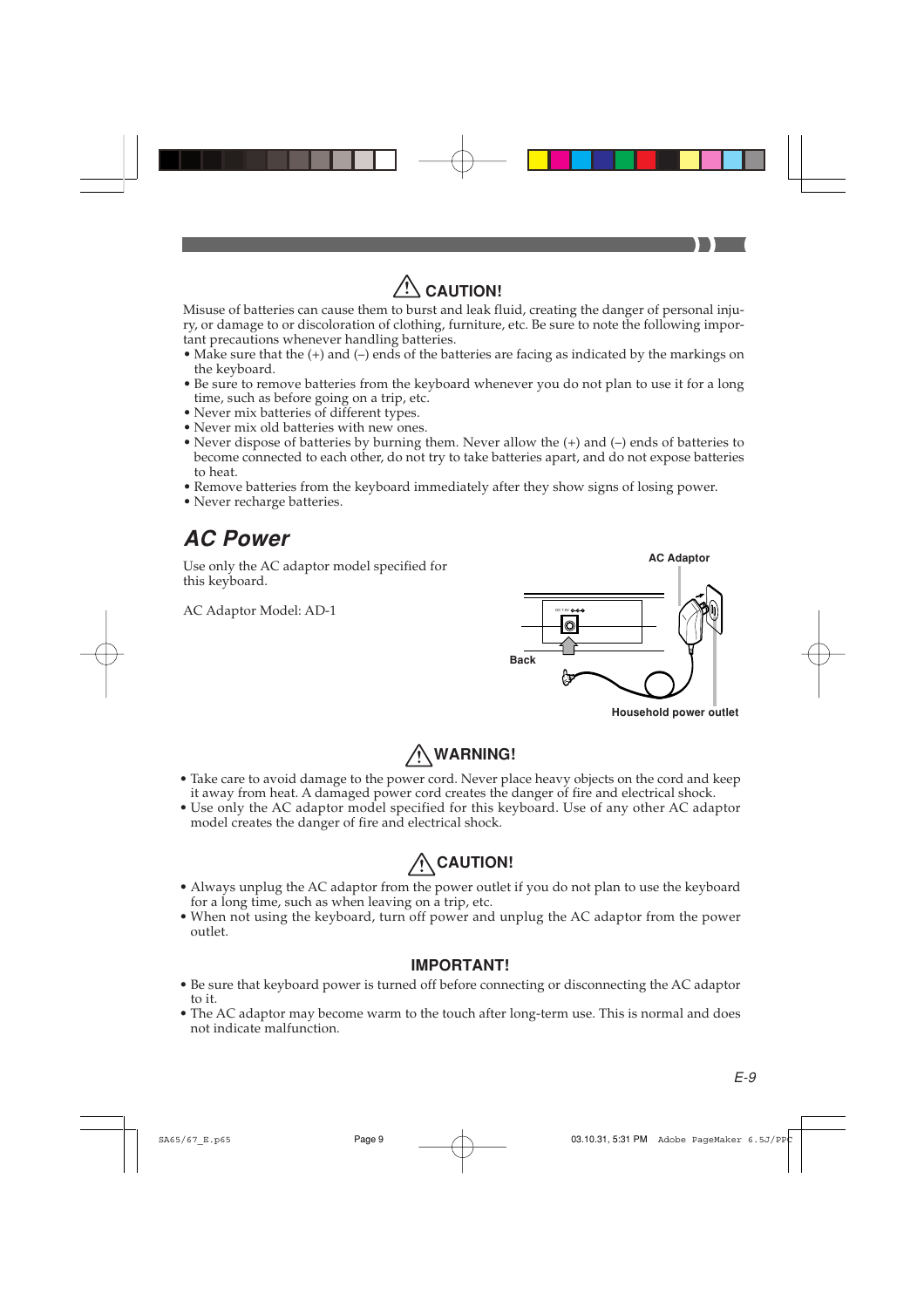

Misuse of batteries can cause them to burst and leak fluid, creating the danger of personal injury, or damage to or discoloration of clothing, furniture, etc. Be sure to note the following important precautions whenever handling batteries.

- Make sure that the (+) and (-) ends of the batteries are facing as indicated by the markings on the keyboard.
- Be sure to remove batteries from the keyboard whenever you do not plan to use it for a long time, such as before going on a trip, etc.
- Never mix batteries of different types.
- Never mix old batteries with new ones.
- Never dispose of batteries by burning them. Never allow the (+) and (–) ends of batteries to become connected to each other, do not try to take batteries apart, and do not expose batteries to heat.
- Remove batteries from the keyboard immediately after they show signs of losing power.
- Never recharge batteries.

# **AC Power**

Use only the AC adaptor model specified for this keyboard.

AC Adaptor Model: AD-1



# **WARNING!**

- Take care to avoid damage to the power cord. Never place heavy objects on the cord and keep it away from heat. A damaged power cord creates the danger of fire and electrical shock.
- Use only the AC adaptor model specified for this keyboard. Use of any other AC adaptor model creates the danger of fire and electrical shock.

## **CAUTION!**

- Always unplug the AC adaptor from the power outlet if you do not plan to use the keyboard for a long time, such as when leaving on a trip, etc.
- When not using the keyboard, turn off power and unplug the AC adaptor from the power outlet.

#### **IMPORTANT!**

- Be sure that keyboard power is turned off before connecting or disconnecting the AC adaptor to it.
- The AC adaptor may become warm to the touch after long-term use. This is normal and does not indicate malfunction.

#### E-9

SA65/67\_E.p65 Page 9 Page 9 03.10.31, 5:31 PM Adobe PageMaker 6.5J/F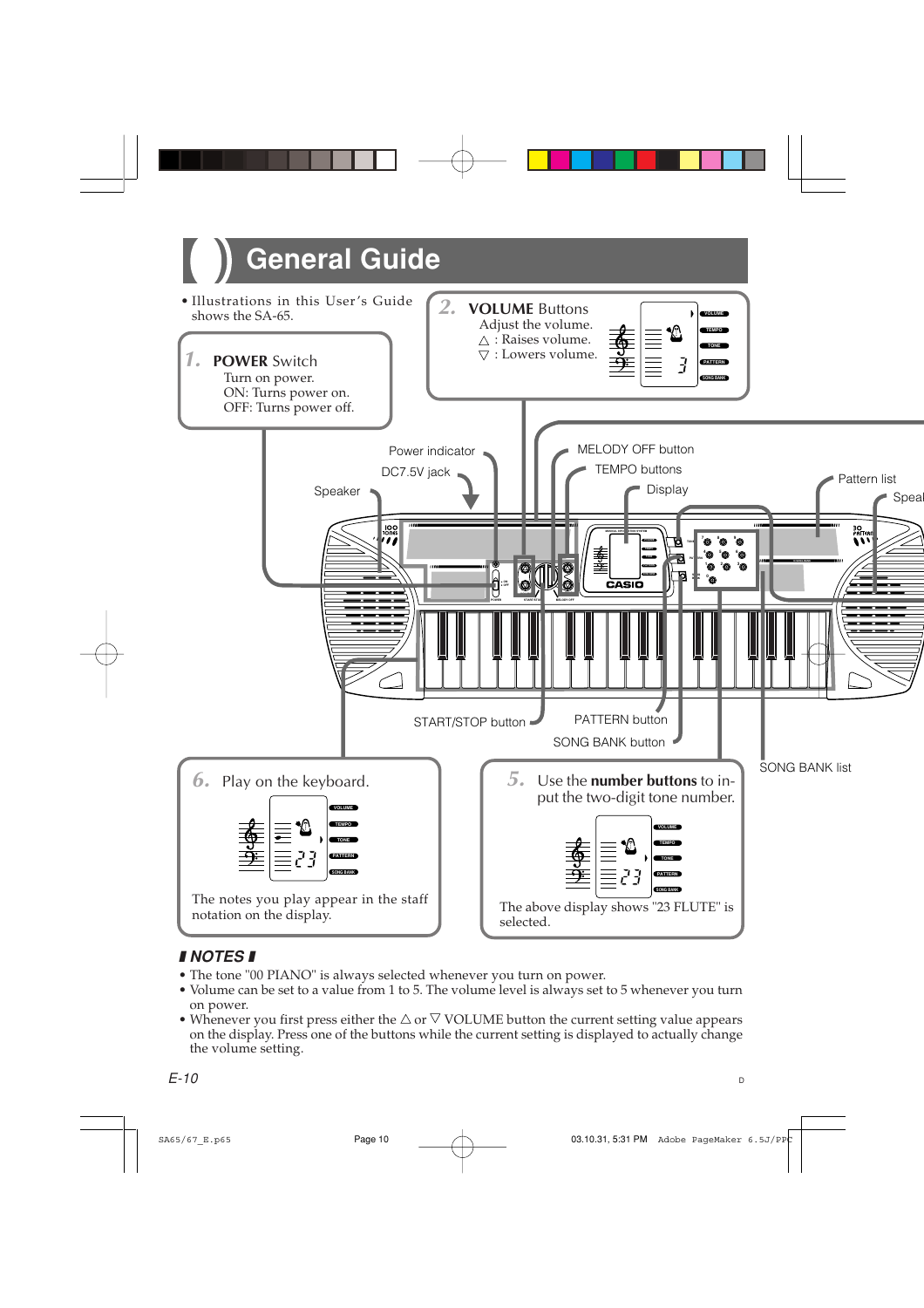

#### ❚ **NOTES** ❚

- The tone "00 PIANO" is always selected whenever you turn on power.
- Volume can be set to a value from 1 to 5. The volume level is always set to 5 whenever you turn on power.
- Whenever you first press either the  $\triangle$  or  $\nabla$  VOLUME button the current setting value appears on the display. Press one of the buttons while the current setting is displayed to actually change the volume setting.



SA65/67\_E.p65 **Page 10 Page 10 CONSERVING PAGE 23.10.31, 5:31 PM** Adobe PageMaker 6.5J/PIC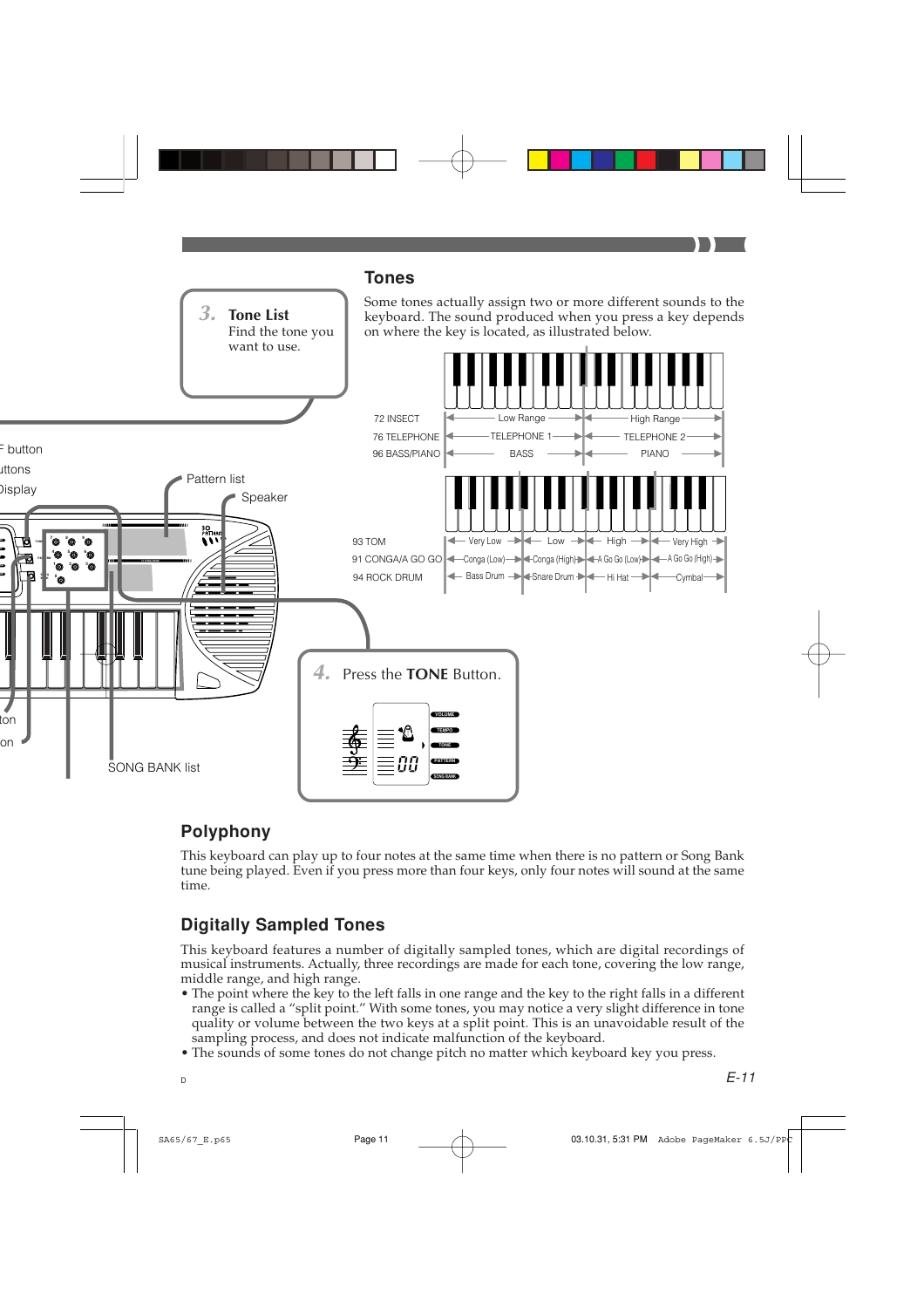

### **Polyphony**

This keyboard can play up to four notes at the same time when there is no pattern or Song Bank tune being played. Even if you press more than four keys, only four notes will sound at the same time.

### **Digitally Sampled Tones**

This keyboard features a number of digitally sampled tones, which are digital recordings of musical instruments. Actually, three recordings are made for each tone, covering the low range, middle range, and high range.

- The point where the key to the left falls in one range and the key to the right falls in a different range is called a "split point." With some tones, you may notice a very slight difference in tone quality or volume between the two keys at a split point. This is an unavoidable result of the sampling process, and does not indicate malfunction of the keyboard.
- The sounds of some tones do not change pitch no matter which keyboard key you press.

E-11

D

 $SAS/67$  E.p65 **Page 11 Page 11 Company Page 11 D3.10.31, 5:31 PM** Adobe PageMaker 6.5J/PIC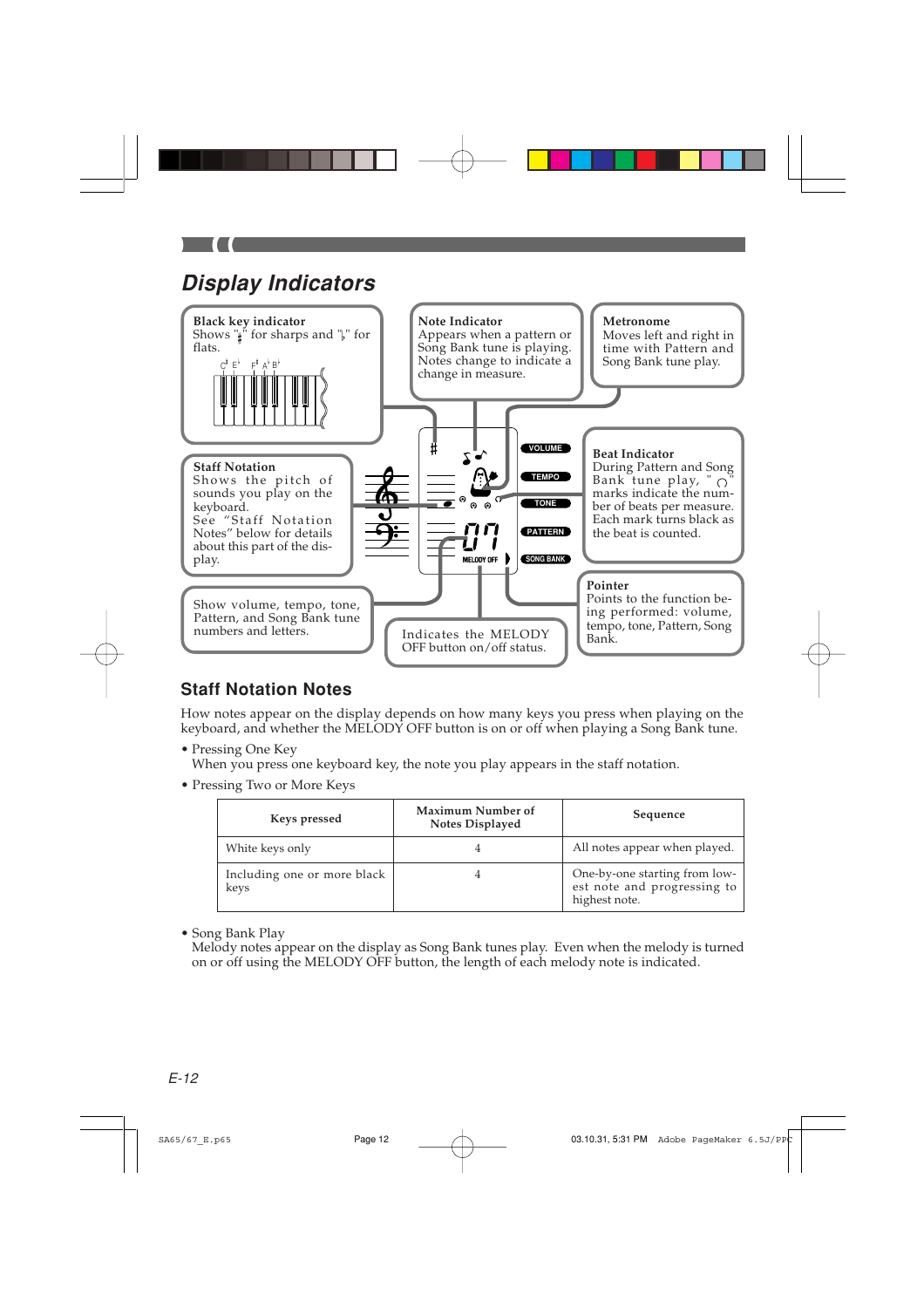



### **Staff Notation Notes**

How notes appear on the display depends on how many keys you press when playing on the keyboard, and whether the MELODY OFF button is on or off when playing a Song Bank tune.

- Pressing One Key
- When you press one keyboard key, the note you play appears in the staff notation.
- Pressing Two or More Keys

| Keys pressed                        | Maximum Number of<br><b>Notes Displayed</b> | Sequence                                                                      |
|-------------------------------------|---------------------------------------------|-------------------------------------------------------------------------------|
| White keys only                     |                                             | All notes appear when played.                                                 |
| Including one or more black<br>keys |                                             | One-by-one starting from low-<br>est note and progressing to<br>highest note. |

• Song Bank Play

Melody notes appear on the display as Song Bank tunes play. Even when the melody is turned on or off using the MELODY OFF button, the length of each melody note is indicated.

E-12

SA65/67\_E.p65 **Page 12** Page 12 13.10.31, 5:31 PM Adobe PageMaker 6.5J/PE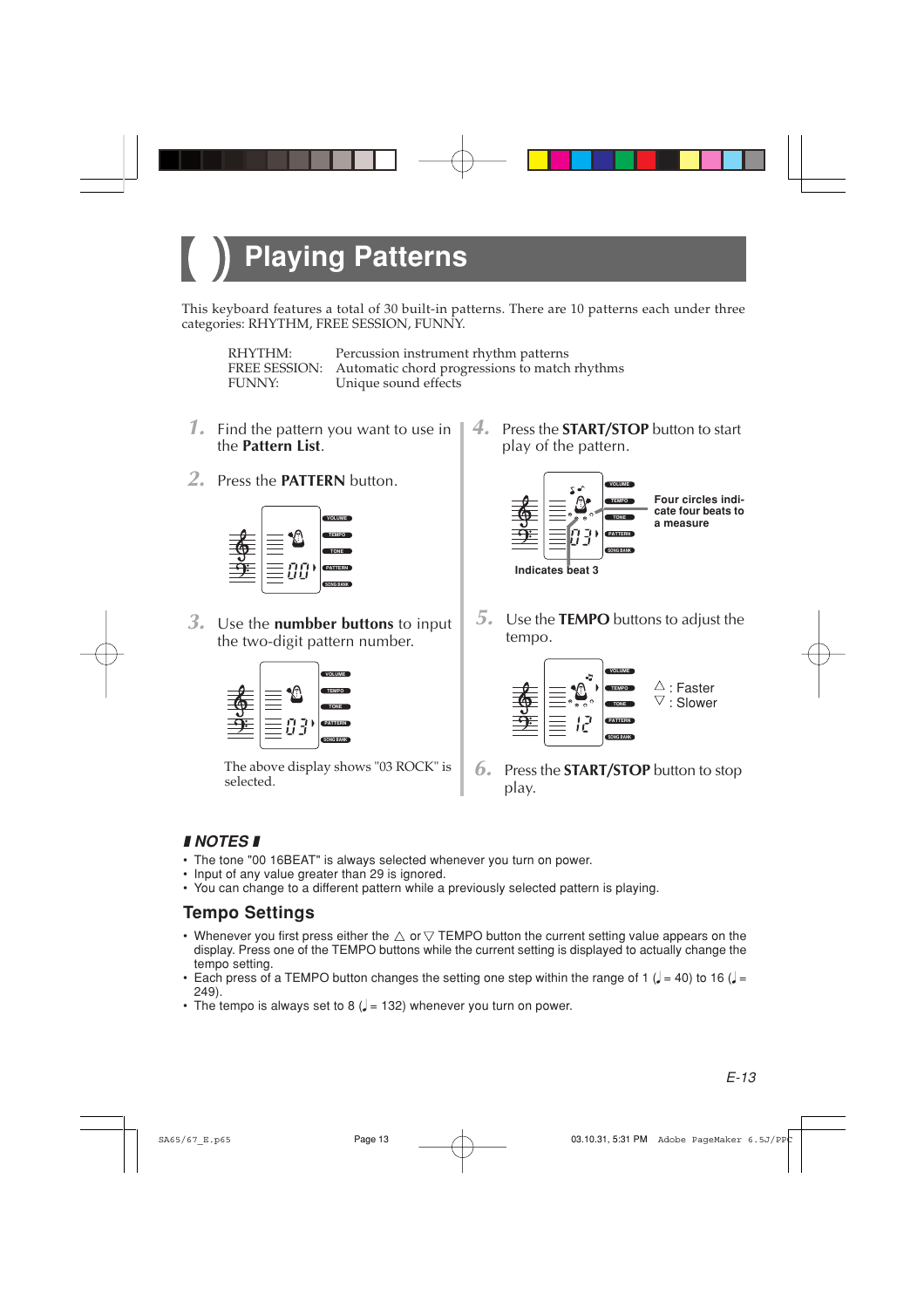# **Playing Patterns**

This keyboard features a total of 30 built-in patterns. There are 10 patterns each under three categories: RHYTHM, FREE SESSION, FUNNY.

RHYTHM: Percussion instrument rhythm patterns FREE SESSION: Automatic chord progressions to match rhythms FUNNY: Unique sound effects Unique sound effects

- **1.** Find the pattern you want to use in the **Pattern List**.
- **2.** Press the **PATTERN** button.



**3.** Use the **numbber buttons** to input the two-digit pattern number.



The above display shows "03 ROCK" is selected.

**4.** Press the **START/STOP** button to start play of the pattern.



**5.** Use the **TEMPO** buttons to adjust the tempo.



**6.** Press the **START/STOP** button to stop play.

#### ❚ **NOTES** ❚

- The tone "00 16BEAT" is always selected whenever you turn on power.
- Input of any value greater than 29 is ignored.
- You can change to a different pattern while a previously selected pattern is playing.

### **Tempo Settings**

- Whenever you first press either the  $\triangle$  or  $\nabla$  TEMPO button the current setting value appears on the display. Press one of the TEMPO buttons while the current setting is displayed to actually change the tempo setting.
- Each press of a TEMPO button changes the setting one step within the range of 1 ( $J = 40$ ) to 16 ( $J =$ 249).
- The tempo is always set to 8 ( $J = 132$ ) whenever you turn on power.

#### E-13

 $SAS/67_E.p65$  Page 13 Page 13 03.10.31, 5:31 PM Adobe PageMaker 6.5J/P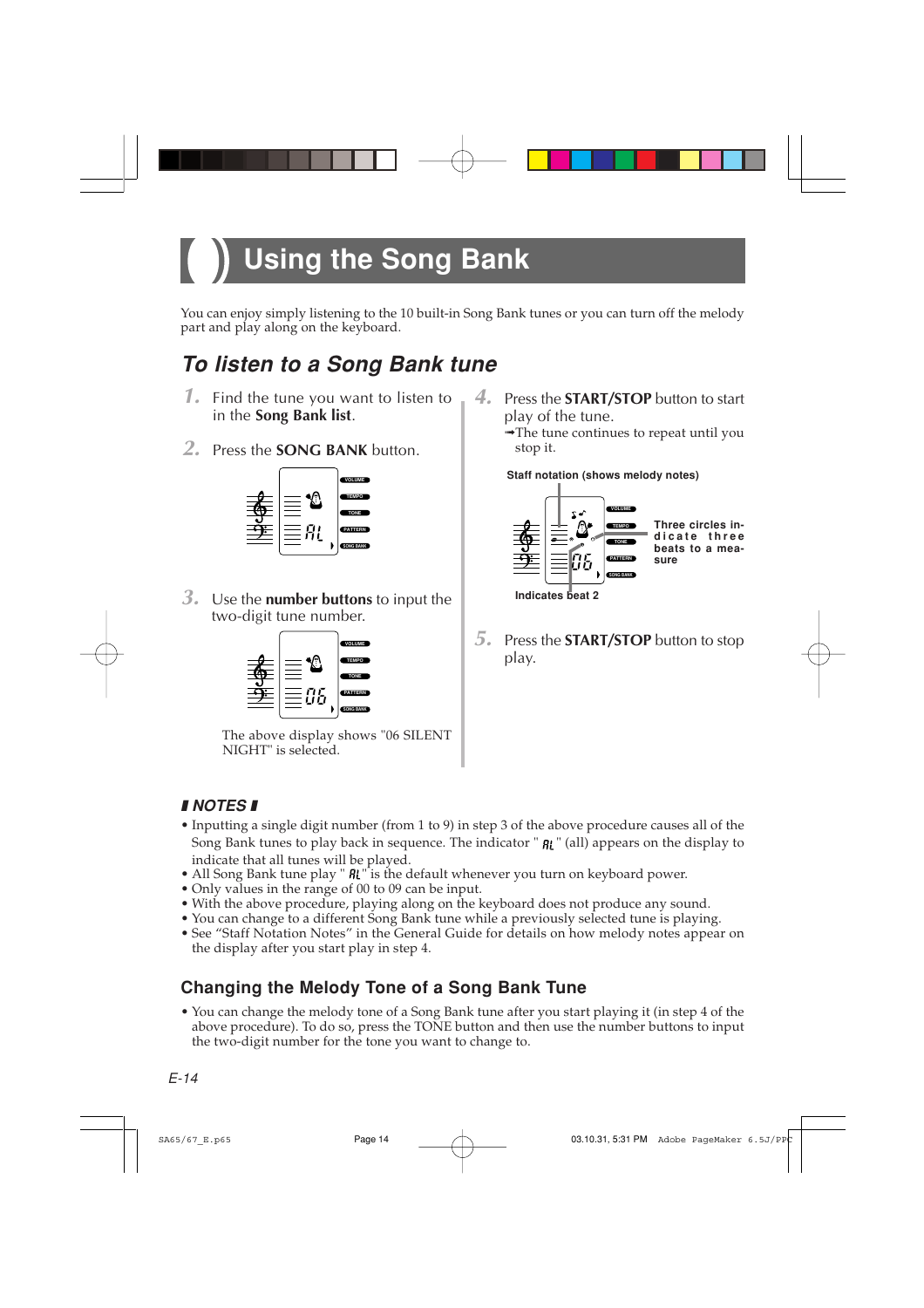# **Using the Song Bank**

You can enjoy simply listening to the 10 built-in Song Bank tunes or you can turn off the melody part and play along on the keyboard.

## **To listen to a Song Bank tune**

- **1.** Find the tune you want to listen to in the **Song Bank list**.
- **2.** Press the **SONG BANK** button.



**3.** Use the **number buttons** to input the two-digit tune number.



The above display shows "06 SILENT NIGHT" is selected.

- **4.** Press the **START/STOP** button to start play of the tune.
	- $\rightarrow$  The tune continues to repeat until you stop it.

**Staff notation (shows melody notes)**



**5.** Press the **START/STOP** button to stop play.

#### ❚ **NOTES** ❚

- Inputting a single digit number (from 1 to 9) in step 3 of the above procedure causes all of the Song Bank tunes to play back in sequence. The indicator " $R_1$ " (all) appears on the display to indicate that all tunes will be played.
- All Song Bank tune play "  $\mathcal{H}$ l is the default whenever you turn on keyboard power.
- Only values in the range of 00 to 09 can be input.
- With the above procedure, playing along on the keyboard does not produce any sound.
- You can change to a different Song Bank tune while a previously selected tune is playing.
- See "Staff Notation Notes" in the General Guide for details on how melody notes appear on the display after you start play in step 4.

#### **Changing the Melody Tone of a Song Bank Tune**

• You can change the melody tone of a Song Bank tune after you start playing it (in step 4 of the above procedure). To do so, press the TONE button and then use the number buttons to input the two-digit number for the tone you want to change to.

E-14

SA65/67\_E.p65 **Page 14** Page 14 03.10.31, 5:31 PM Adobe PageMaker 6.5J/P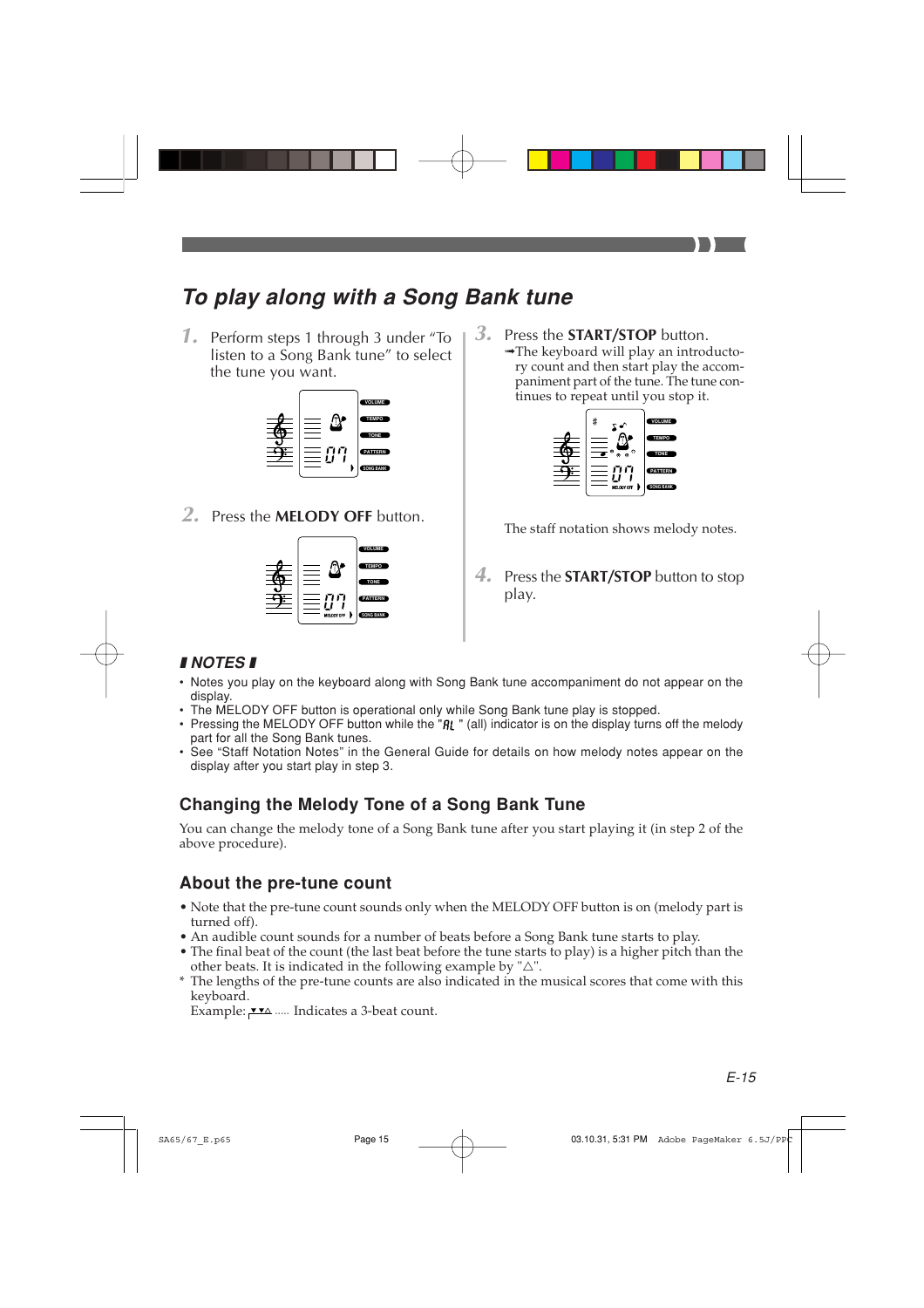

# **To play along with a Song Bank tune**

**1.** Perform steps 1 through 3 under "To listen to a Song Bank tune" to select the tune you want.



**2.** Press the **MELODY OFF** button.



**3.** Press the **START/STOP** button. ➟The keyboard will play an introductory count and then start play the accompaniment part of the tune. The tune continues to repeat until you stop it.

| #          | VOLUME           |
|------------|------------------|
|            | <b>TEMPO</b>     |
| ⊵∘ຈັຈິ     | TONE             |
| ח ד        | PATTERN          |
| MELODY OFF | <b>SONG BANK</b> |

The staff notation shows melody notes.

**4.** Press the **START/STOP** button to stop play.

#### ❚ **NOTES** ❚

- Notes you play on the keyboard along with Song Bank tune accompaniment do not appear on the display.
- The MELODY OFF button is operational only while Song Bank tune play is stopped.
- Pressing the MELODY OFF button while the "RL" (all) indicator is on the display turns off the melody part for all the Song Bank tunes.
- See "Staff Notation Notes" in the General Guide for details on how melody notes appear on the display after you start play in step 3.

### **Changing the Melody Tone of a Song Bank Tune**

You can change the melody tone of a Song Bank tune after you start playing it (in step 2 of the above procedure).

#### **About the pre-tune count**

- Note that the pre-tune count sounds only when the MELODY OFF button is on (melody part is turned off).
- An audible count sounds for a number of beats before a Song Bank tune starts to play.
- The final beat of the count (the last beat before the tune starts to play) is a higher pitch than the other beats. It is indicated in the following example by " $\triangle$ ".
- \* The lengths of the pre-tune counts are also indicated in the musical scores that come with this keyboard.

Example: **VIA ....** Indicates a 3-beat count.

#### E-15

SA65/67 E.p65 **Page 15** Page 15 **Page 15** 03.10.31, 5:31 PM Adobe PageMaker 6.5J/FCC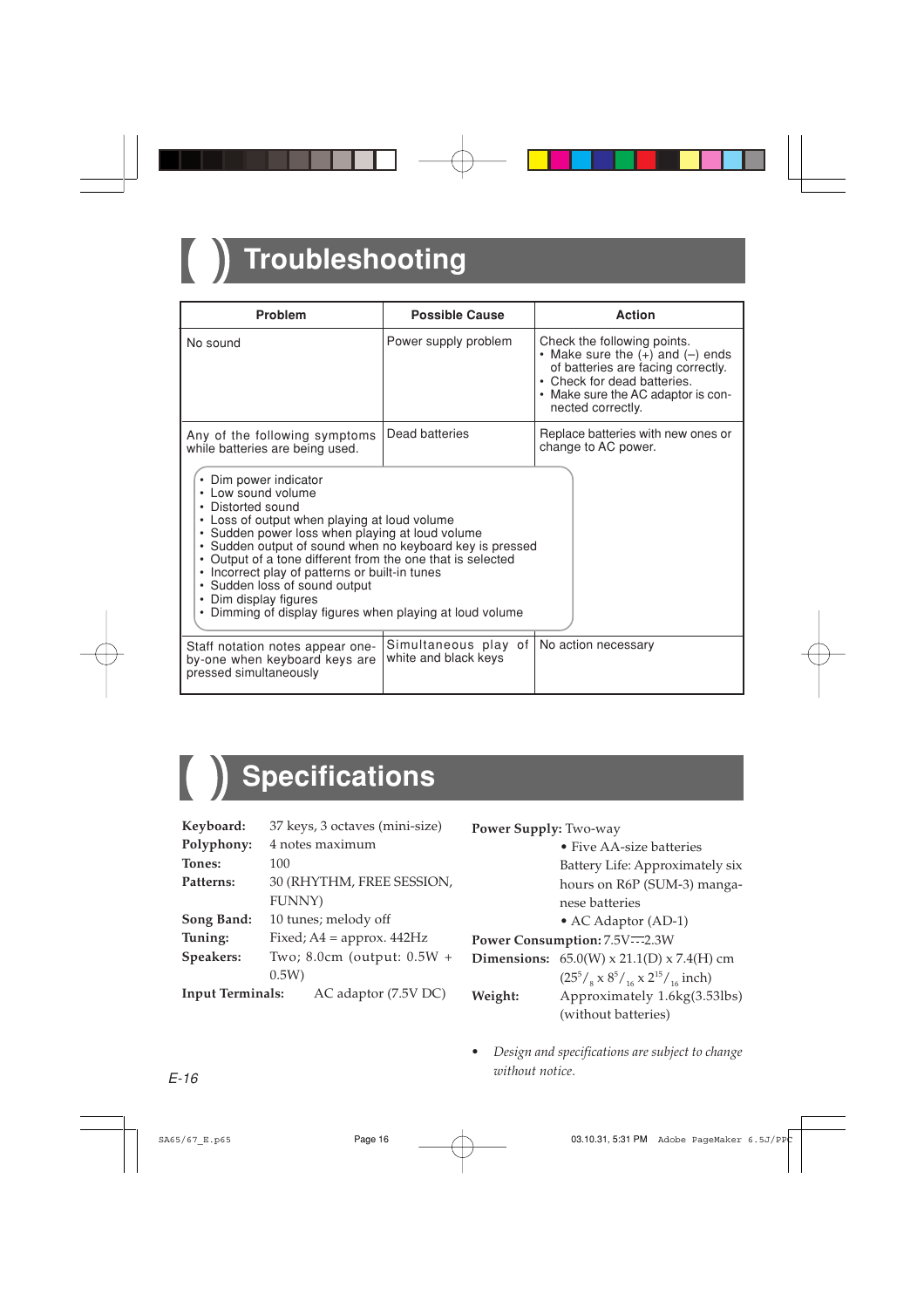# **Troubleshooting**

| Problem                                                                                                                                                                                                                                                                                                                                                                                                                                                               | <b>Possible Cause</b>                        | <b>Action</b>                                                                                                                                                                                       |
|-----------------------------------------------------------------------------------------------------------------------------------------------------------------------------------------------------------------------------------------------------------------------------------------------------------------------------------------------------------------------------------------------------------------------------------------------------------------------|----------------------------------------------|-----------------------------------------------------------------------------------------------------------------------------------------------------------------------------------------------------|
| No sound                                                                                                                                                                                                                                                                                                                                                                                                                                                              | Power supply problem                         | Check the following points.<br>• Make sure the $(+)$ and $(-)$ ends<br>of batteries are facing correctly.<br>• Check for dead batteries.<br>• Make sure the AC adaptor is con-<br>nected correctly. |
| Any of the following symptoms<br>while batteries are being used.                                                                                                                                                                                                                                                                                                                                                                                                      | Dead batteries                               | Replace batteries with new ones or<br>change to AC power.                                                                                                                                           |
| • Dim power indicator<br>• Low sound volume<br>• Distorted sound<br>• Loss of output when playing at loud volume<br>· Sudden power loss when playing at loud volume<br>• Sudden output of sound when no keyboard key is pressed<br>• Output of a tone different from the one that is selected<br>• Incorrect play of patterns or built-in tunes<br>· Sudden loss of sound output<br>• Dim display figures<br>• Dimming of display figures when playing at loud volume |                                              |                                                                                                                                                                                                     |
| Staff notation notes appear one-<br>by-one when keyboard keys are<br>pressed simultaneously                                                                                                                                                                                                                                                                                                                                                                           | Simultaneous play of<br>white and black keys | No action necessary                                                                                                                                                                                 |

# **Specifications**

| Keyboard:               | 37 keys, 3 octaves (mini-size) | <b>Power Supply:</b> Two-way |                                                              |
|-------------------------|--------------------------------|------------------------------|--------------------------------------------------------------|
| Polyphony:              | 4 notes maximum                |                              | • Five AA-size batteries                                     |
| Tones:                  | 100                            |                              | Battery Life: Approximately six                              |
| Patterns:               | 30 (RHYTHM, FREE SESSION,      |                              | hours on R6P (SUM-3) manga-                                  |
|                         | FUNNY)                         |                              | nese batteries                                               |
| Song Band:              | 10 tunes; melody off           |                              | • AC Adaptor (AD-1)                                          |
| Tuning:                 | Fixed; $A4 =$ approx. $442Hz$  |                              | Power Consumption: 7.5V <del>--</del> 2.3W                   |
| Speakers:               | Two; 8.0cm (output: 0.5W +     |                              | <b>Dimensions:</b> $65.0(W) \times 21.1(D) \times 7.4(H)$ cm |
|                         | 0.5W                           |                              | $(25^5/\,8 \times 8^5/\,16 \times 2^{15}/\,16}$ inch)        |
| <b>Input Terminals:</b> | AC adaptor (7.5V DC)           | Weight:                      | Approximately 1.6kg(3.53lbs)<br>(without batteries)          |

*• Design and specifications are subject to change without notice.*

E-16

SA65/67\_E.p65 Page 16 Page 16 03.10.31, 5:31 PM Adobe PageMaker 6.5J/PPC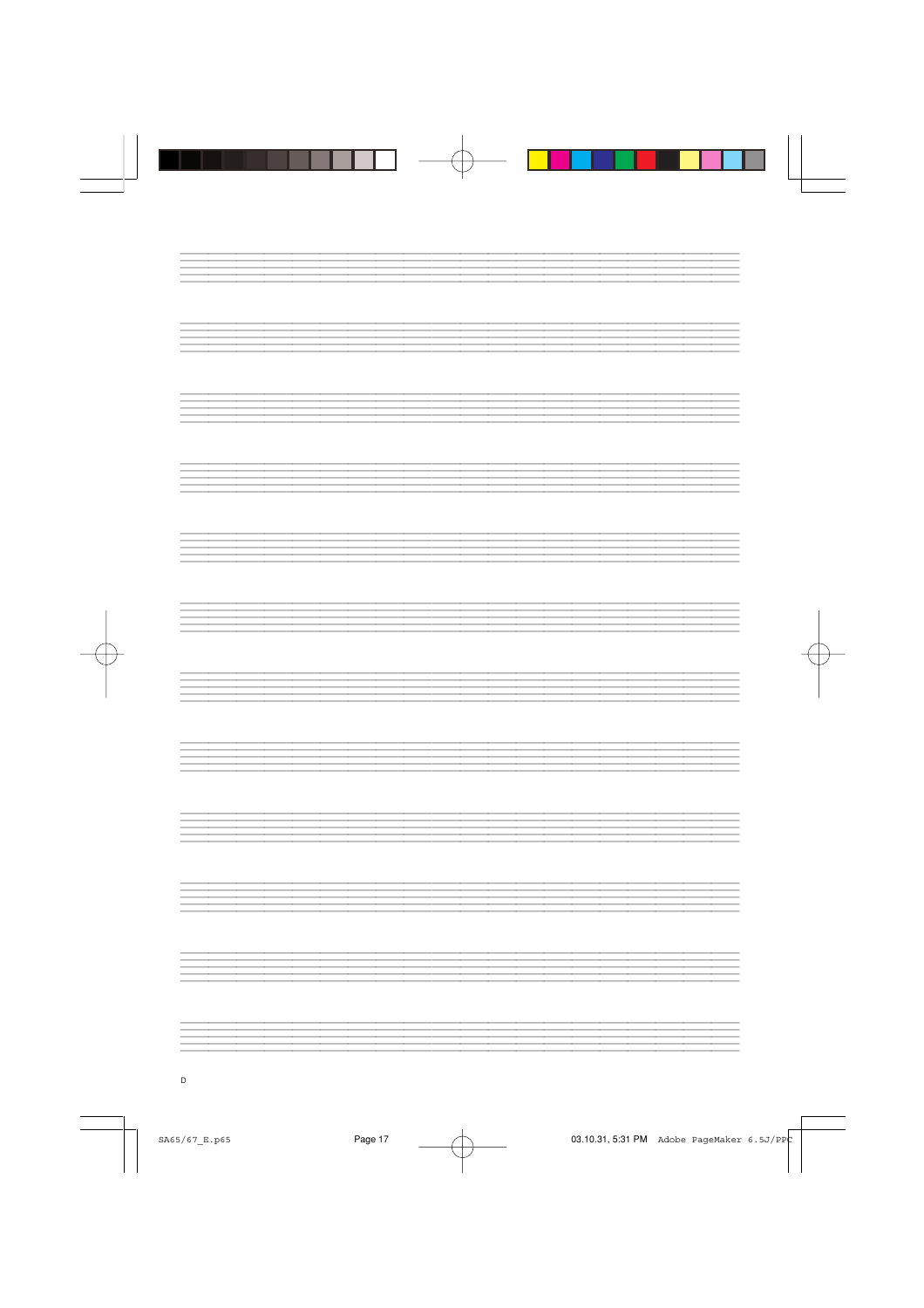| ▊▊▊▊▊▊▊▁▏ <sup>▁</sup> ▏▁▕▊▊▐▊▊▊▊▊▊▊▊▌▏▏                                              |  |
|---------------------------------------------------------------------------------------|--|
|                                                                                       |  |
|                                                                                       |  |
|                                                                                       |  |
|                                                                                       |  |
|                                                                                       |  |
|                                                                                       |  |
|                                                                                       |  |
|                                                                                       |  |
| $\mathsf D$<br>03.10.31, 5:31 PM Adobe PageMaker 6.5J/PPC<br>Page 17<br>SA65/67_E.p65 |  |